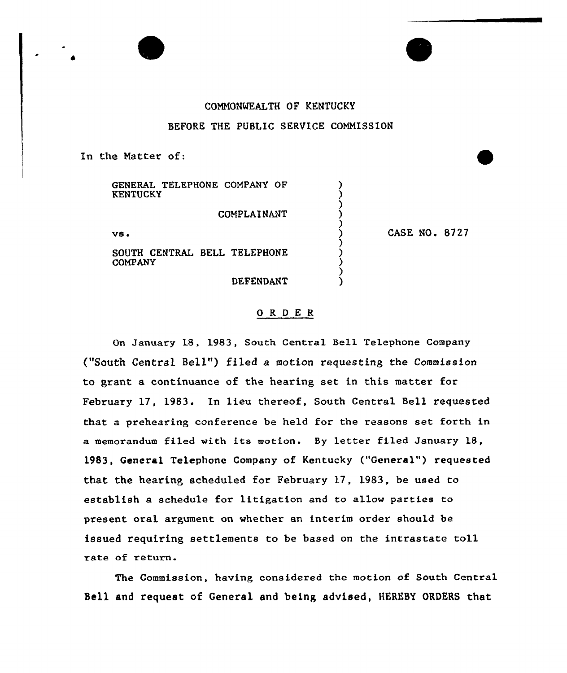## COMNONMEALTH OF KENTUCKY

## BEFORE THE PUBLIC SERVICE COMMISSION

In the Natter of:

GENERAL TELEPHONE COMPANY OF KENTUCKY

COMPLAINANT

vs

SOUTH CENTRAL BELL TELEPHONE COMPANY

DEFENDANT

CASE NO. 8727

## ORDER

On January 18, 1983, South Central Bell Telephone Company ("South Central Bell") filed <sup>a</sup> motion requesting the Commission to grant a continuance of the hearing set in this matter for February 17, 1983. In lieu thereof, South Central Bell requested that a prehearing conference be held for the reasons set forth in a memorandum filed with its motion. By letter filed January 18, 1983, General Telephone Company of Kentucky ("General") requested that the hearing scheduled for February 17, 1983, be used to establish a schedule for litigation and to allow parties to present oral argument on whether an interim order should be issued requiring settlements to be based on the intrastate toll rate of return.

The Commission, having considered the motion of South Central Bell and request of General and being advised, HEREBY ORDERS that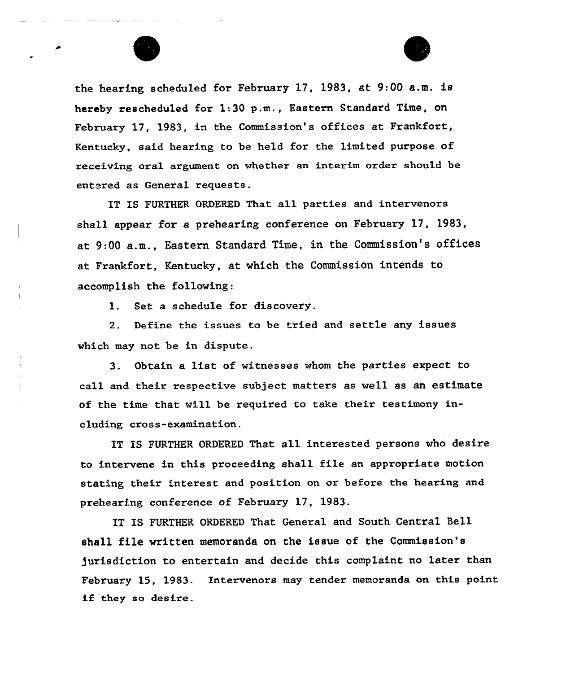



the hearing scheduled for February 17, 1983, at 9:00 a.m. is hereby rescheduled for 1:30 p.m., Eastern Standard Time, on February 17, 1983, in the Commission's offices at Frankfort, Kentucky, said hearing to be held for the limited purpose of receiving oral argument on whether an interim order should be entered as General requests.

IT IS FURTHER ORDERED That all parties and intervenors shall appear for a prehearing conference on February 17, 1983, at 9:00 a.m., Eastern Standard Time, in the Commission's offices at Frankfort, Kentucky, at which the Commission intends to accomplish the following:

1. Set a schedule for discovery.

2. Define the issues to be tried and settle any issues which may not be in dispute.

3. Obtain a list of witnesses whom the parties expect to call and their respective subject matters as well as an estimate of the time that will be required to take their testimony including cross-examination.

IT IS FURTHER ORDERED That all interested persons who desire to intervene in this proceeding shall file an appropriate motion stating their interest and position on or before the hearing and prehearing conference of February 17, 1983.

IT IS FURTHER ORDERED That General and South Central Bell shall file written memoranda on the issue of the Commission's jurisdiction to entertain and decide this complaint no latex than February 15, 1983. Intervenors may tender memoranda on this point if they so desire.